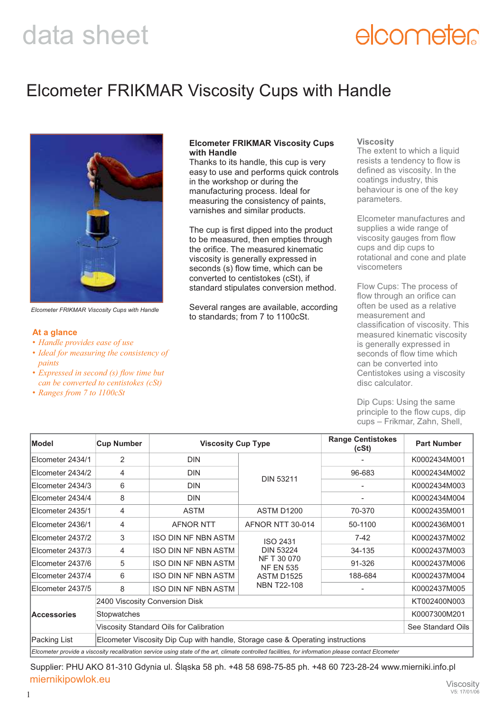# elcometer

## Elcometer FRIKMAR Viscosity Cups with Handle



*Elcometer FRIKMAR Viscosity Cups with Handle*

### **At a glance**

- *Handle provides ease of use*
- *Ideal for measuring the consistency of paints*
- *Expressed in second (s) flow time but can be converted to centistokes (cSt)*
- *Ranges from 7 to 1100cSt*

### **Elcometer FRIKMAR Viscosity Cups with Handle**

Thanks to its handle, this cup is very easy to use and performs quick controls in the workshop or during the manufacturing process. Ideal for measuring the consistency of paints, varnishes and similar products.

The cup is first dipped into the product to be measured, then empties through the orifice. The measured kinematic viscosity is generally expressed in seconds (s) flow time, which can be converted to centistokes (cSt), if standard stipulates conversion method.

Several ranges are available, according to standards; from 7 to 1100cSt.

### **Viscosity**

The extent to which a liquid resists a tendency to flow is defined as viscosity. In the coatings industry, this behaviour is one of the key parameters.

Elcometer manufactures and supplies a wide range of viscosity gauges from flow cups and dip cups to rotational and cone and plate viscometers

Flow Cups: The process of flow through an orifice can often be used as a relative measurement and classification of viscosity. This measured kinematic viscosity is generally expressed in seconds of flow time which can be converted into Centistokes using a viscosity disc calculator.

Dip Cups: Using the same principle to the flow cups, dip cups – Frikmar, Zahn, Shell,

| <b>Model</b>                                                                                                                                                                                     | <b>Cup Number</b>                                                              | <b>Viscosity Cup Type</b>  |                                     | <b>Range Centistokes</b><br>(cSt) | <b>Part Number</b> |  |
|--------------------------------------------------------------------------------------------------------------------------------------------------------------------------------------------------|--------------------------------------------------------------------------------|----------------------------|-------------------------------------|-----------------------------------|--------------------|--|
| Elcometer 2434/1                                                                                                                                                                                 | 2                                                                              | <b>DIN</b>                 |                                     |                                   | K0002434M001       |  |
| Elcometer 2434/2                                                                                                                                                                                 | 4                                                                              | <b>DIN</b>                 | <b>DIN 53211</b>                    | 96-683                            | K0002434M002       |  |
| Elcometer 2434/3                                                                                                                                                                                 | 6                                                                              | <b>DIN</b>                 |                                     |                                   | K0002434M003       |  |
| Elcometer 2434/4                                                                                                                                                                                 | 8                                                                              | <b>DIN</b>                 |                                     |                                   | K0002434M004       |  |
| Elcometer 2435/1                                                                                                                                                                                 | 4                                                                              | <b>ASTM</b>                | <b>ASTM D1200</b>                   | 70-370                            | K0002435M001       |  |
| Elcometer 2436/1                                                                                                                                                                                 | 4                                                                              | <b>AFNOR NTT</b>           | AFNOR NTT 30-014                    | 50-1100                           | K0002436M001       |  |
| Elcometer 2437/2                                                                                                                                                                                 | 3                                                                              | <b>ISO DIN NF NBN ASTM</b> | <b>ISO 2431</b><br><b>DIN 53224</b> | $7 - 42$                          | K0002437M002       |  |
| Elcometer 2437/3                                                                                                                                                                                 | 4                                                                              | <b>ISO DIN NF NBN ASTM</b> |                                     | 34-135                            | K0002437M003       |  |
| Elcometer 2437/6                                                                                                                                                                                 | 5                                                                              | <b>ISO DIN NF NBN ASTM</b> | NF T 30 070<br><b>NF EN 535</b>     | 91-326                            | K0002437M006       |  |
| IEIcometer 2437/4                                                                                                                                                                                | 6                                                                              | <b>ISO DIN NF NBN ASTM</b> | ASTM D1525                          | 188-684                           | K0002437M004       |  |
| Elcometer 2437/5                                                                                                                                                                                 | 8                                                                              | <b>ISO DIN NF NBN ASTM</b> | <b>NBN T22-108</b>                  |                                   | K0002437M005       |  |
| <b>Accessories</b>                                                                                                                                                                               | 2400 Viscosity Conversion Disk                                                 | KT002400N003               |                                     |                                   |                    |  |
|                                                                                                                                                                                                  | <b>Stopwatches</b>                                                             | K0007300M201               |                                     |                                   |                    |  |
|                                                                                                                                                                                                  |                                                                                | See Standard Oils          |                                     |                                   |                    |  |
| Packing List                                                                                                                                                                                     | Elcometer Viscosity Dip Cup with handle, Storage case & Operating instructions |                            |                                     |                                   |                    |  |
| Viscosity Standard Oils for Calibration<br>$E$ loomater provide a viseooity resolibration eenvise yoing atote of the art alimate controlled fooilities, for information places contact Eleanoter |                                                                                |                            |                                     |                                   |                    |  |

*Elcometer provide a viscosity recalibration service using state of the art, climate controlled facilities, for information please contact Elcometer*

Supplier: PHU AKO 81-310 Gdynia ul. Śląska 58 ph. +48 58 698-75-85 ph. +48 60 723-28-24 www.mierniki.info.pl miernikipowlok.eu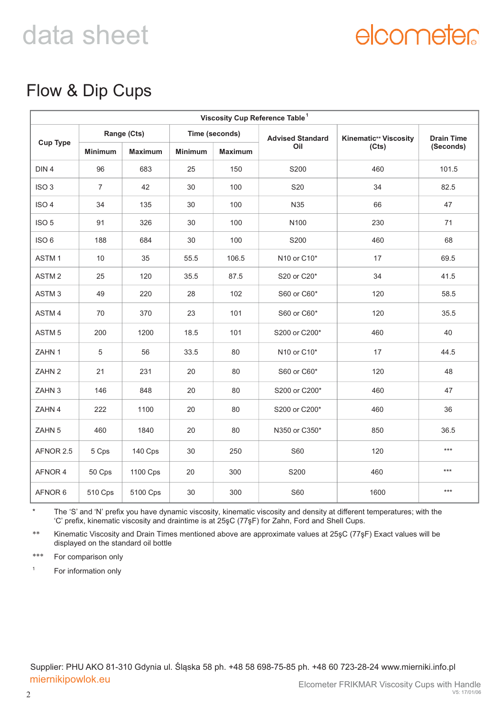# elcometer

## Flow & Dip Cups

| Viscosity Cup Reference Table <sup>1</sup> |                |                |                |                |                                                 |                              |                   |  |
|--------------------------------------------|----------------|----------------|----------------|----------------|-------------------------------------------------|------------------------------|-------------------|--|
| <b>Cup Type</b>                            | Range (Cts)    |                | Time (seconds) |                | <b>Advised Standard</b>                         | <b>Kinematic** Viscosity</b> | <b>Drain Time</b> |  |
|                                            | <b>Minimum</b> | <b>Maximum</b> | <b>Minimum</b> | <b>Maximum</b> | Oil                                             | (Cts)                        | (Seconds)         |  |
| DIN <sub>4</sub>                           | 96             | 683            | 25             | 150            | S200                                            | 460                          | 101.5             |  |
| ISO <sub>3</sub>                           | $\overline{7}$ | 42             | 30             | 100            | S20                                             | 34                           | 82.5              |  |
| ISO <sub>4</sub>                           | 34             | 135            | 30             | 100            | N35                                             | 66                           | 47                |  |
| ISO <sub>5</sub>                           | 91             | 326            | 30             | 100            | N100                                            | 230                          | 71                |  |
| ISO <sub>6</sub>                           | 188            | 684            | 30             | 100            | S200                                            | 460                          | 68                |  |
| ASTM <sub>1</sub>                          | 10             | 35             | 55.5           | 106.5          | N10 or C10*                                     | 17                           | 69.5              |  |
| ASTM <sub>2</sub>                          | 25             | 120            | 35.5           | 87.5           | S20 or C20*                                     | 34                           | 41.5              |  |
| ASTM <sub>3</sub>                          | 49             | 220            | 28             | 102            | S60 or C60*                                     | 120                          | 58.5              |  |
| ASTM 4                                     | 70             | 370            | 23             | 101            | S60 or C60*                                     | 120                          | 35.5              |  |
| ASTM <sub>5</sub>                          | 200            | 1200           | 18.5           | 101            | S200 or C200*                                   | 460                          | 40                |  |
| ZAHN 1                                     | 5              | 56             | 33.5           | 80             | N <sub>10</sub> or C <sub>10</sub> <sup>*</sup> | 17                           | 44.5              |  |
| ZAHN 2                                     | 21             | 231            | 20             | 80             | S60 or C60*                                     | 120                          | 48                |  |
| ZAHN 3                                     | 146            | 848            | 20             | 80             | S200 or C200*                                   | 460                          | 47                |  |
| ZAHN 4                                     | 222            | 1100           | 20             | 80             | S200 or C200*                                   | 460                          | 36                |  |
| ZAHN 5                                     | 460            | 1840           | 20             | 80             | N350 or C350*                                   | 850                          | 36.5              |  |
| AFNOR 2.5                                  | 5 Cps          | 140 Cps        | 30             | 250            | <b>S60</b>                                      | 120                          | $***$             |  |
| AFNOR 4                                    | 50 Cps         | 1100 Cps       | 20             | 300            | S200                                            | 460                          | $***$             |  |
| AFNOR 6                                    | 510 Cps        | 5100 Cps       | 30             | 300            | <b>S60</b>                                      | 1600                         | $***$             |  |

\* The 'S' and 'N' prefix you have dynamic viscosity, kinematic viscosity and density at different temperatures; with the 'C' prefix, kinematic viscosity and draintime is at 25şC (77şF) for Zahn, Ford and Shell Cups.

\*\* Kinematic Viscosity and Drain Times mentioned above are approximate values at 25şC (77şF) Exact values will be displayed on the standard oil bottle

\*\*\* For comparison only

1 For information only

Supplier: PHU AKO 81-310 Gdynia ul. Śląska 58 ph. +48 58 698-75-85 ph. +48 60 723-28-24 www.mierniki.info.pl miernikipowlok.eu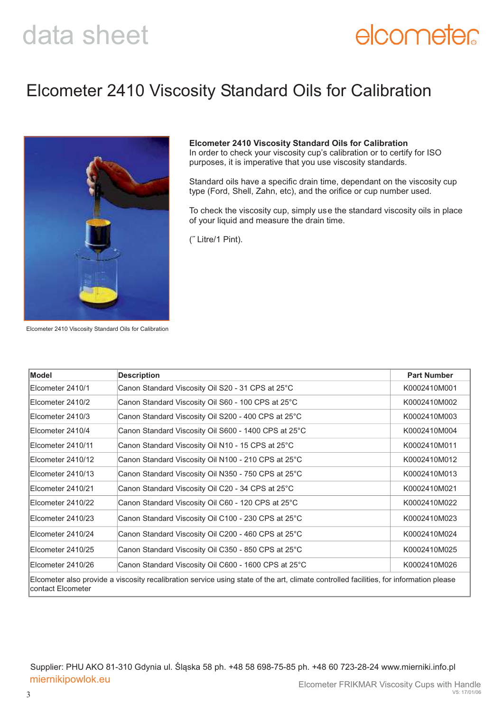# elcometer

### Elcometer 2410 Viscosity Standard Oils for Calibration



### **Elcometer 2410 Viscosity Standard Oils for Calibration**

In order to check your viscosity cup's calibration or to certify for ISO purposes, it is imperative that you use viscosity standards.

Standard oils have a specific drain time, dependant on the viscosity cup type (Ford, Shell, Zahn, etc), and the orifice or cup number used.

To check the viscosity cup, simply use the standard viscosity oils in place of your liquid and measure the drain time.

(˝ Litre/1 Pint).

Elcometer 2410 Viscosity Standard Oils for Calibration

| Model              | <b>Description</b>                                   | <b>Part Number</b> |
|--------------------|------------------------------------------------------|--------------------|
| Elcometer 2410/1   | Canon Standard Viscosity Oil S20 - 31 CPS at 25°C    | K0002410M001       |
| Elcometer 2410/2   | Canon Standard Viscosity Oil S60 - 100 CPS at 25°C   | K0002410M002       |
| Elcometer 2410/3   | Canon Standard Viscosity Oil S200 - 400 CPS at 25°C  | K0002410M003       |
| Elcometer 2410/4   | Canon Standard Viscosity Oil S600 - 1400 CPS at 25°C | K0002410M004       |
| Elcometer 2410/11  | Canon Standard Viscosity Oil N10 - 15 CPS at 25°C    | K0002410M011       |
| IElcometer 2410/12 | Canon Standard Viscosity Oil N100 - 210 CPS at 25°C  | K0002410M012       |
| Elcometer 2410/13  | Canon Standard Viscosity Oil N350 - 750 CPS at 25°C  | K0002410M013       |
| Elcometer 2410/21  | Canon Standard Viscosity Oil C20 - 34 CPS at 25°C    | K0002410M021       |
| Elcometer 2410/22  | Canon Standard Viscosity Oil C60 - 120 CPS at 25°C   | K0002410M022       |
| Elcometer 2410/23  | Canon Standard Viscosity Oil C100 - 230 CPS at 25°C  | K0002410M023       |
| Elcometer 2410/24  | Canon Standard Viscosity Oil C200 - 460 CPS at 25°C  | K0002410M024       |
| Elcometer 2410/25  | Canon Standard Viscosity Oil C350 - 850 CPS at 25°C  | K0002410M025       |
| Elcometer 2410/26  | Canon Standard Viscosity Oil C600 - 1600 CPS at 25°C | K0002410M026       |

Supplier: PHU AKO 81-310 Gdynia ul. Śląska 58 ph. +48 58 698-75-85 ph. +48 60 723-28-24 www.mierniki.info.pl miernikipowlok.eu